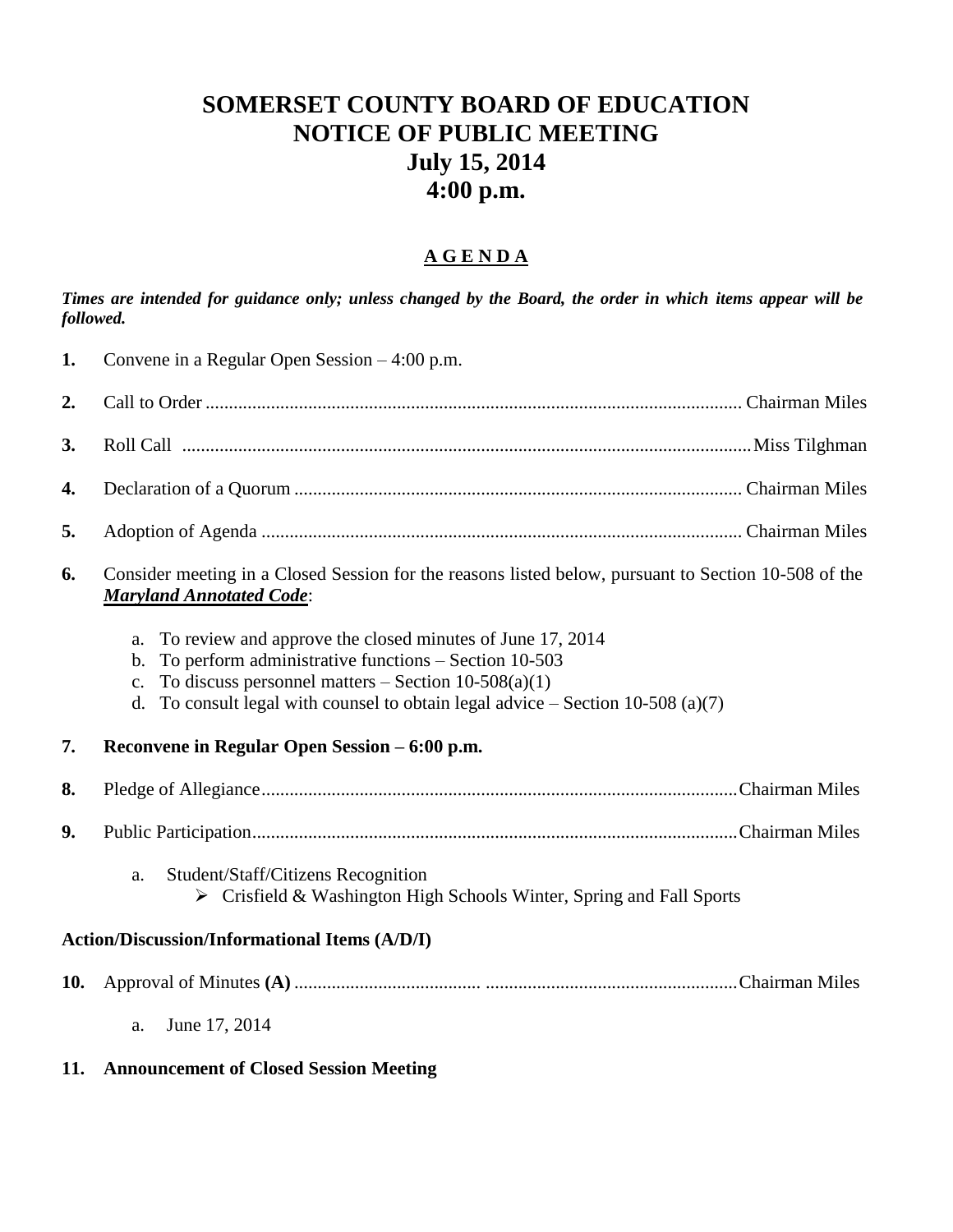## **SOMERSET COUNTY BOARD OF EDUCATION NOTICE OF PUBLIC MEETING July 15, 2014 4:00 p.m.**

## **A G E N D A**

*Times are intended for guidance only; unless changed by the Board, the order in which items appear will be followed.*

| 1.                                                   | Convene in a Regular Open Session $-4:00$ p.m.                                                                                                                                                                                                                                                            |  |  |  |
|------------------------------------------------------|-----------------------------------------------------------------------------------------------------------------------------------------------------------------------------------------------------------------------------------------------------------------------------------------------------------|--|--|--|
| 2.                                                   |                                                                                                                                                                                                                                                                                                           |  |  |  |
| 3.                                                   |                                                                                                                                                                                                                                                                                                           |  |  |  |
| 4.                                                   |                                                                                                                                                                                                                                                                                                           |  |  |  |
| 5.                                                   |                                                                                                                                                                                                                                                                                                           |  |  |  |
| 6.                                                   | Consider meeting in a Closed Session for the reasons listed below, pursuant to Section 10-508 of the<br><b>Maryland Annotated Code:</b>                                                                                                                                                                   |  |  |  |
|                                                      | To review and approve the closed minutes of June 17, 2014<br>a.<br>To perform administrative functions - Section 10-503<br>$\mathbf{b}$ .<br>To discuss personnel matters – Section $10-508(a)(1)$<br>$c_{\cdot}$<br>To consult legal with counsel to obtain legal advice $-$ Section 10-508 (a)(7)<br>d. |  |  |  |
| 7.                                                   | Reconvene in Regular Open Session – 6:00 p.m.                                                                                                                                                                                                                                                             |  |  |  |
| 8.                                                   |                                                                                                                                                                                                                                                                                                           |  |  |  |
| 9.                                                   |                                                                                                                                                                                                                                                                                                           |  |  |  |
|                                                      | Student/Staff/Citizens Recognition<br>a.<br>Crisfield & Washington High Schools Winter, Spring and Fall Sports                                                                                                                                                                                            |  |  |  |
| <b>Action/Discussion/Informational Items (A/D/I)</b> |                                                                                                                                                                                                                                                                                                           |  |  |  |
| 10.                                                  |                                                                                                                                                                                                                                                                                                           |  |  |  |
|                                                      | June 17, 2014<br>a.                                                                                                                                                                                                                                                                                       |  |  |  |

## **11. Announcement of Closed Session Meeting**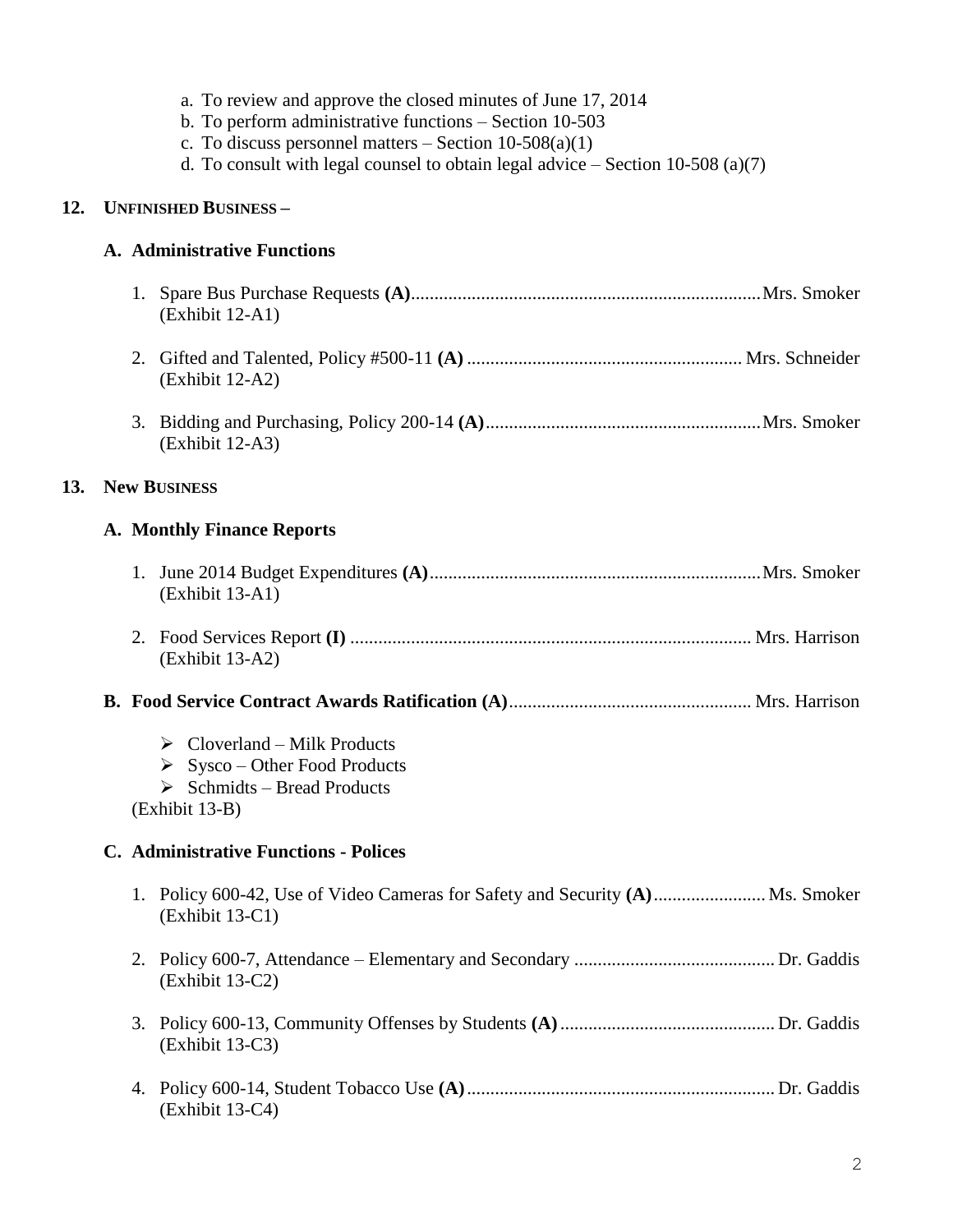|     |    | a. To review and approve the closed minutes of June 17, 2014<br>b. To perform administrative functions $-$ Section 10-503<br>c. To discuss personnel matters $-$ Section 10-508(a)(1)<br>d. To consult with legal counsel to obtain legal advice $-$ Section 10-508 (a)(7) |
|-----|----|----------------------------------------------------------------------------------------------------------------------------------------------------------------------------------------------------------------------------------------------------------------------------|
| 12. |    | <b>UNFINISHED BUSINESS-</b>                                                                                                                                                                                                                                                |
|     |    | <b>A. Administrative Functions</b>                                                                                                                                                                                                                                         |
|     |    | (Exhibit 12-A1)                                                                                                                                                                                                                                                            |
|     | 2. | (Exhibit 12-A2)                                                                                                                                                                                                                                                            |
|     |    | (Exhibit 12-A3)                                                                                                                                                                                                                                                            |
| 13. |    | <b>New BUSINESS</b>                                                                                                                                                                                                                                                        |
|     |    | <b>A. Monthly Finance Reports</b>                                                                                                                                                                                                                                          |
|     |    | (Exhibit 13-A1)                                                                                                                                                                                                                                                            |
|     |    | (Exhibit 13-A2)                                                                                                                                                                                                                                                            |
|     |    |                                                                                                                                                                                                                                                                            |
|     |    | $\triangleright$ Cloverland – Milk Products<br>$\triangleright$ Sysco – Other Food Products<br>$\triangleright$ Schmidts – Bread Products<br>(Exhibit 13-B)                                                                                                                |
|     |    | <b>C.</b> Administrative Functions - Polices                                                                                                                                                                                                                               |
|     |    | 1. Policy 600-42, Use of Video Cameras for Safety and Security (A)  Ms. Smoker<br>$(Exhibit 13-C1)$                                                                                                                                                                        |
|     |    | (Exhibit 13-C2)                                                                                                                                                                                                                                                            |
|     | 3. | $(Exhibit 13-C3)$                                                                                                                                                                                                                                                          |
|     |    | (Exhibit 13-C4)                                                                                                                                                                                                                                                            |